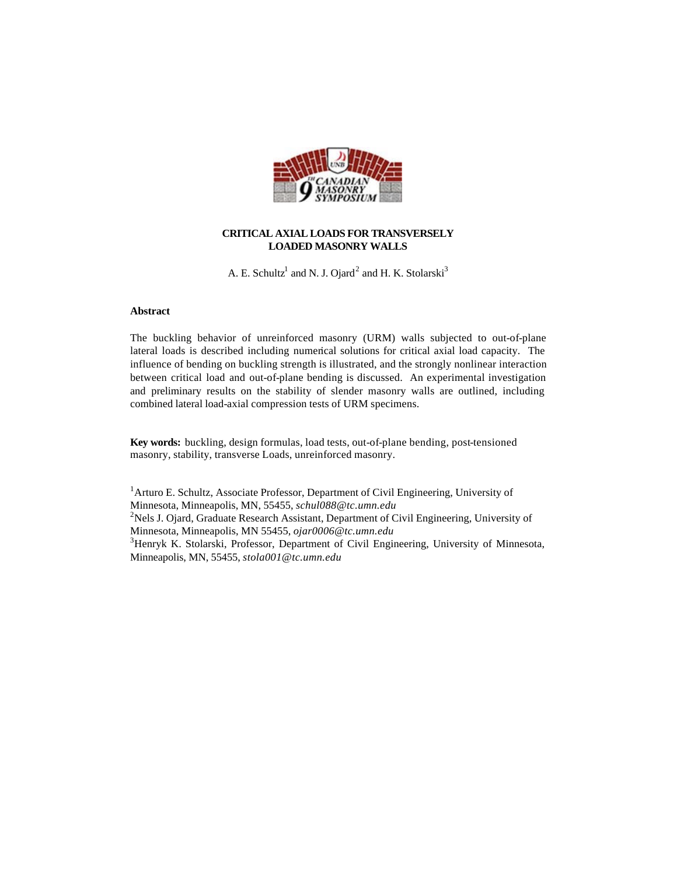

# **CRITICAL AXIAL LOADS FOR TRANSVERSELY LOADED MASONRY WALLS**

A. E. Schultz<sup>1</sup> and N. J. Ojard<sup>2</sup> and H. K. Stolarski<sup>3</sup>

# **Abstract**

The buckling behavior of unreinforced masonry (URM) walls subjected to out-of-plane lateral loads is described including numerical solutions for critical axial load capacity. The influence of bending on buckling strength is illustrated, and the strongly nonlinear interaction between critical load and out-of-plane bending is discussed. An experimental investigation and preliminary results on the stability of slender masonry walls are outlined, including combined lateral load-axial compression tests of URM specimens.

**Key words:** buckling, design formulas, load tests, out-of-plane bending, post-tensioned masonry, stability, transverse Loads, unreinforced masonry.

<sup>1</sup> Arturo E. Schultz, Associate Professor, Department of Civil Engineering, University of Minnesota, Minneapolis, MN, 55455, *schul088@tc.umn.edu* <sup>2</sup>Nels J. Ojard, Graduate Research Assistant, Department of Civil Engineering, University of Minnesota, Minneapolis, MN 55455, *ojar0006@tc.umn.edu* <sup>3</sup>Henryk K. Stolarski, Professor, Department of Civil Engineering, University of Minnesota, Minneapolis, MN, 55455, *stola001@tc.umn.edu*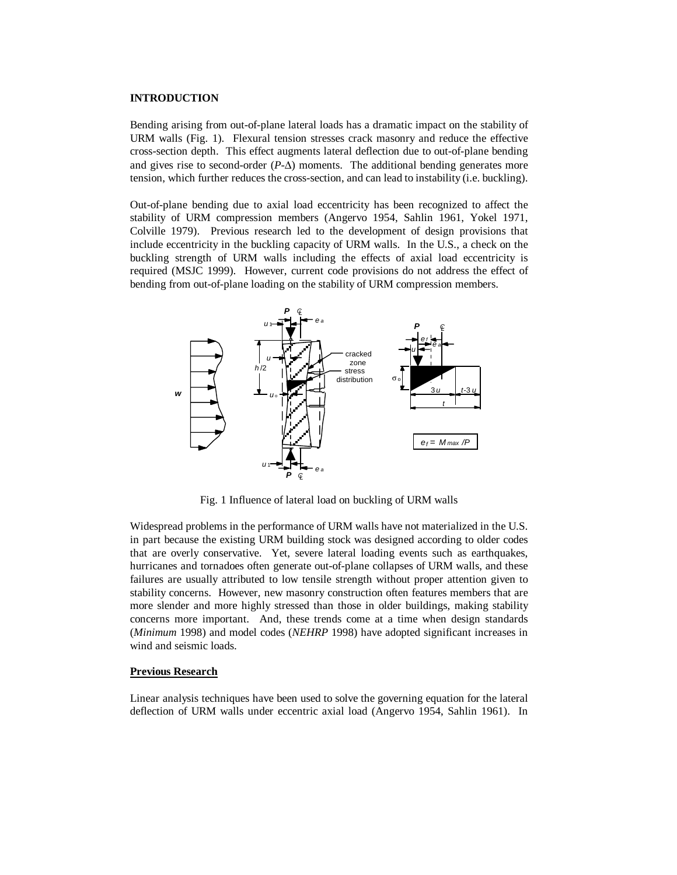# **INTRODUCTION**

Bending arising from out-of-plane lateral loads has a dramatic impact on the stability of URM walls (Fig. 1). Flexural tension stresses crack masonry and reduce the effective cross-section depth. This effect augments lateral deflection due to out-of-plane bending and gives rise to second-order  $(P-\Delta)$  moments. The additional bending generates more tension, which further reduces the cross-section, and can lead to instability (i.e. buckling).

Out-of-plane bending due to axial load eccentricity has been recognized to affect the stability of URM compression members (Angervo 1954, Sahlin 1961, Yokel 1971, Colville 1979). Previous research led to the development of design provisions that include eccentricity in the buckling capacity of URM walls. In the U.S., a check on the buckling strength of URM walls including the effects of axial load eccentricity is required (MSJC 1999). However, current code provisions do not address the effect of bending from out-of-plane loading on the stability of URM compression members.



Fig. 1 Influence of lateral load on buckling of URM walls

Widespread problems in the performance of URM walls have not materialized in the U.S. in part because the existing URM building stock was designed according to older codes that are overly conservative. Yet, severe lateral loading events such as earthquakes, hurricanes and tornadoes often generate out-of-plane collapses of URM walls, and these failures are usually attributed to low tensile strength without proper attention given to stability concerns. However, new masonry construction often features members that are more slender and more highly stressed than those in older buildings, making stability concerns more important. And, these trends come at a time when design standards (*Minimum* 1998) and model codes (*NEHRP* 1998) have adopted significant increases in wind and seismic loads.

## **Previous Research**

Linear analysis techniques have been used to solve the governing equation for the lateral deflection of URM walls under eccentric axial load (Angervo 1954, Sahlin 1961). In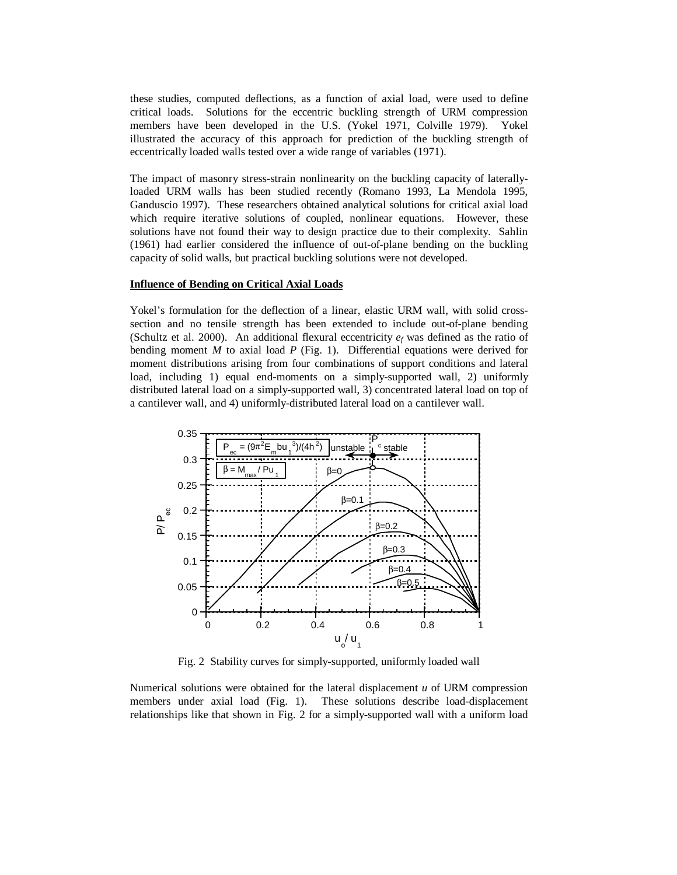these studies, computed deflections, as a function of axial load, were used to define critical loads. Solutions for the eccentric buckling strength of URM compression members have been developed in the U.S. (Yokel 1971, Colville 1979). Yokel illustrated the accuracy of this approach for prediction of the buckling strength of eccentrically loaded walls tested over a wide range of variables (1971).

The impact of masonry stress-strain nonlinearity on the buckling capacity of laterallyloaded URM walls has been studied recently (Romano 1993, La Mendola 1995, Ganduscio 1997). These researchers obtained analytical solutions for critical axial load which require iterative solutions of coupled, nonlinear equations. However, these solutions have not found their way to design practice due to their complexity. Sahlin (1961) had earlier considered the influence of out-of-plane bending on the buckling capacity of solid walls, but practical buckling solutions were not developed.

### **Influence of Bending on Critical Axial Loads**

Yokel's formulation for the deflection of a linear, elastic URM wall, with solid crosssection and no tensile strength has been extended to include out-of-plane bending (Schultz et al. 2000). An additional flexural eccentricity  $e_f$  was defined as the ratio of bending moment *M* to axial load *P* (Fig. 1). Differential equations were derived for moment distributions arising from four combinations of support conditions and lateral load, including 1) equal end-moments on a simply-supported wall, 2) uniformly distributed lateral load on a simply-supported wall, 3) concentrated lateral load on top of a cantilever wall, and 4) uniformly-distributed lateral load on a cantilever wall.



Fig. 2 Stability curves for simply-supported, uniformly loaded wall

Numerical solutions were obtained for the lateral displacement *u* of URM compression members under axial load (Fig. 1). These solutions describe load-displacement relationships like that shown in Fig. 2 for a simply-supported wall with a uniform load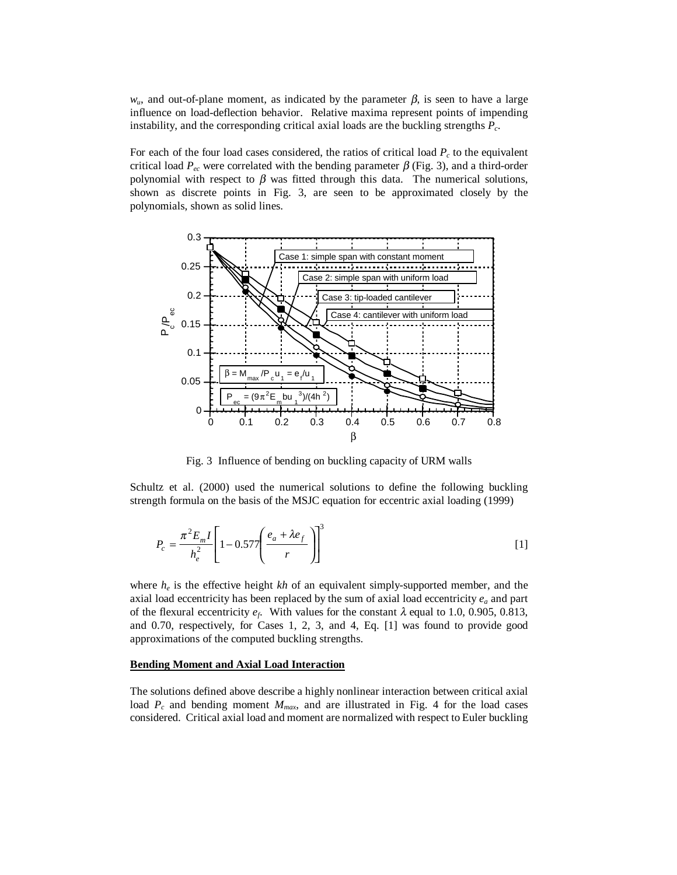$w_u$ , and out-of-plane moment, as indicated by the parameter  $\beta$ , is seen to have a large influence on load-deflection behavior. Relative maxima represent points of impending instability, and the corresponding critical axial loads are the buckling strengths *Pc*.

For each of the four load cases considered, the ratios of critical load  $P_c$  to the equivalent critical load  $P_{ec}$  were correlated with the bending parameter  $\beta$  (Fig. 3), and a third-order polynomial with respect to  $\beta$  was fitted through this data. The numerical solutions, shown as discrete points in Fig. 3, are seen to be approximated closely by the polynomials, shown as solid lines.



Fig. 3 Influence of bending on buckling capacity of URM walls

Schultz et al. (2000) used the numerical solutions to define the following buckling strength formula on the basis of the MSJC equation for eccentric axial loading (1999)

$$
P_c = \frac{\pi^2 E_m I}{h_e^2} \left[ 1 - 0.577 \left( \frac{e_a + \lambda e_f}{r} \right) \right]^3
$$
 [1]

where  $h_e$  is the effective height *kh* of an equivalent simply-supported member, and the axial load eccentricity has been replaced by the sum of axial load eccentricity  $e_a$  and part of the flexural eccentricity  $e_f$ . With values for the constant  $\lambda$  equal to 1.0, 0.905, 0.813, and 0.70, respectively, for Cases 1, 2, 3, and 4, Eq. [1] was found to provide good approximations of the computed buckling strengths.

#### **Bending Moment and Axial Load Interaction**

The solutions defined above describe a highly nonlinear interaction between critical axial load  $P_c$  and bending moment  $M_{max}$ , and are illustrated in Fig. 4 for the load cases considered. Critical axial load and moment are normalized with respect to Euler buckling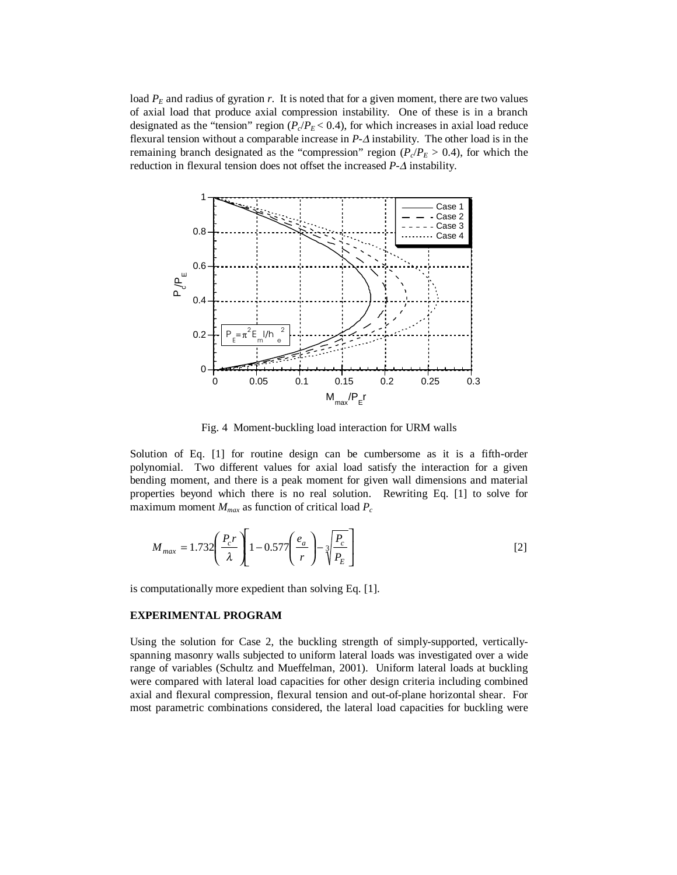load  $P<sub>E</sub>$  and radius of gyration *r*. It is noted that for a given moment, there are two values of axial load that produce axial compression instability. One of these is in a branch designated as the "tension" region  $(P_c/P_E < 0.4)$ , for which increases in axial load reduce flexural tension without a comparable increase in *P*-∆ instability. The other load is in the remaining branch designated as the "compression" region ( $P_c/P_E > 0.4$ ), for which the reduction in flexural tension does not offset the increased *P*-∆ instability.



Fig. 4 Moment-buckling load interaction for URM walls

Solution of Eq. [1] for routine design can be cumbersome as it is a fifth-order polynomial. Two different values for axial load satisfy the interaction for a given bending moment, and there is a peak moment for given wall dimensions and material properties beyond which there is no real solution. Rewriting Eq. [1] to solve for maximum moment  $M_{max}$  as function of critical load  $P_c$ 

$$
M_{max} = 1.732 \left(\frac{P_c r}{\lambda}\right) \left[1 - 0.577 \left(\frac{e_a}{r}\right) - \sqrt[3]{\frac{P_c}{P_E}}\right]
$$
 [2]

is computationally more expedient than solving Eq. [1].

#### **EXPERIMENTAL PROGRAM**

Using the solution for Case 2, the buckling strength of simply-supported, verticallyspanning masonry walls subjected to uniform lateral loads was investigated over a wide range of variables (Schultz and Mueffelman, 2001). Uniform lateral loads at buckling were compared with lateral load capacities for other design criteria including combined axial and flexural compression, flexural tension and out-of-plane horizontal shear. For most parametric combinations considered, the lateral load capacities for buckling were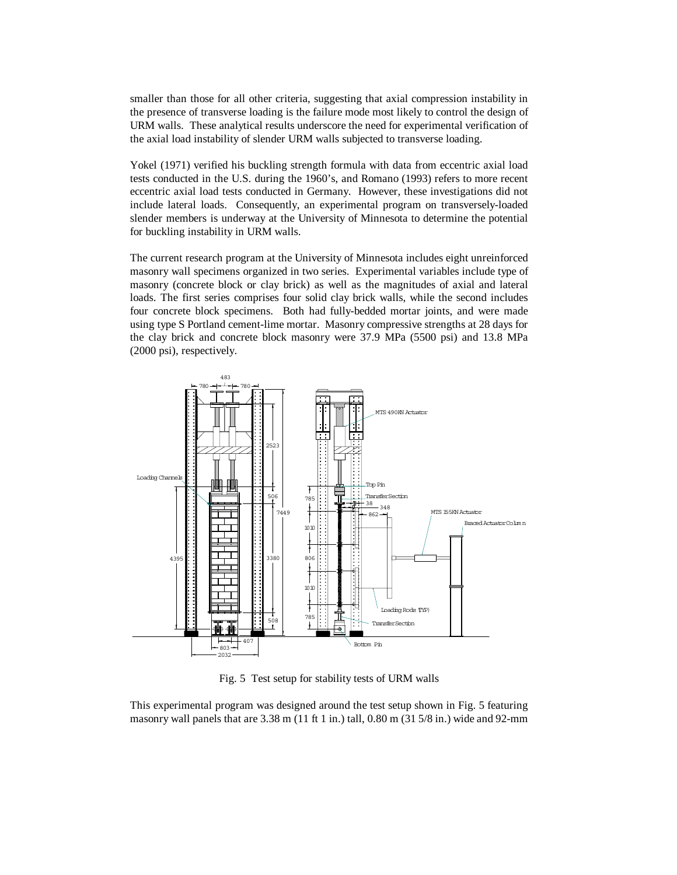smaller than those for all other criteria, suggesting that axial compression instability in the presence of transverse loading is the failure mode most likely to control the design of URM walls. These analytical results underscore the need for experimental verification of the axial load instability of slender URM walls subjected to transverse loading.

Yokel (1971) verified his buckling strength formula with data from eccentric axial load tests conducted in the U.S. during the 1960's, and Romano (1993) refers to more recent eccentric axial load tests conducted in Germany. However, these investigations did not include lateral loads. Consequently, an experimental program on transversely-loaded slender members is underway at the University of Minnesota to determine the potential for buckling instability in URM walls.

The current research program at the University of Minnesota includes eight unreinforced masonry wall specimens organized in two series. Experimental variables include type of masonry (concrete block or clay brick) as well as the magnitudes of axial and lateral loads. The first series comprises four solid clay brick walls, while the second includes four concrete block specimens. Both had fully-bedded mortar joints, and were made using type S Portland cement-lime mortar. Masonry compressive strengths at 28 days for the clay brick and concrete block masonry were 37.9 MPa (5500 psi) and 13.8 MPa (2000 psi), respectively.



Fig. 5 Test setup for stability tests of URM walls

This experimental program was designed around the test setup shown in Fig. 5 featuring masonry wall panels that are  $3.38$  m (11 ft 1 in.) tall, 0.80 m (31 5/8 in.) wide and 92-mm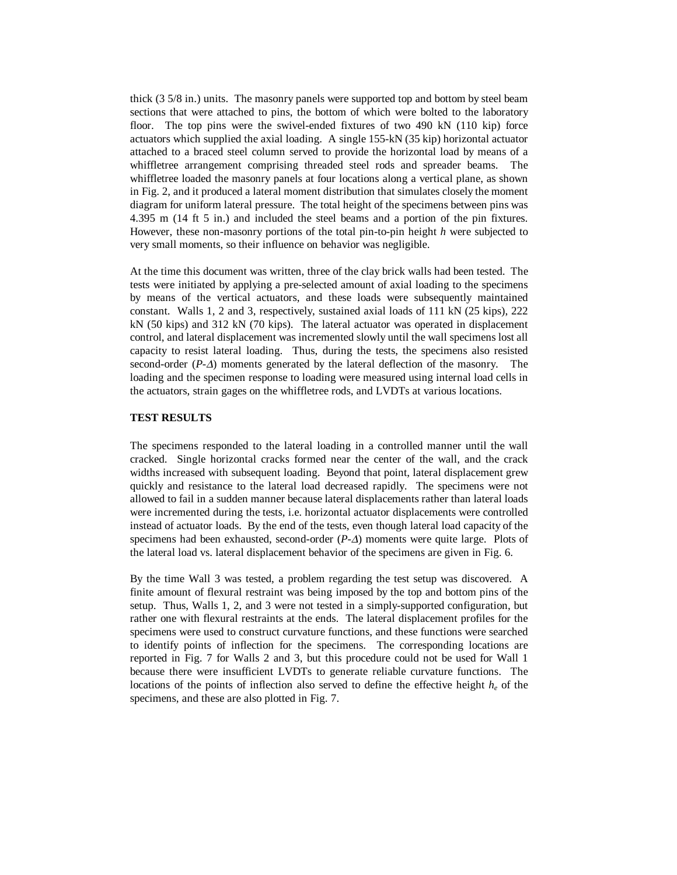thick (3 5/8 in.) units. The masonry panels were supported top and bottom by steel beam sections that were attached to pins, the bottom of which were bolted to the laboratory floor. The top pins were the swivel-ended fixtures of two 490 kN (110 kip) force actuators which supplied the axial loading. A single 155-kN (35 kip) horizontal actuator attached to a braced steel column served to provide the horizontal load by means of a whiffletree arrangement comprising threaded steel rods and spreader beams. The whiffletree loaded the masonry panels at four locations along a vertical plane, as shown in Fig. 2, and it produced a lateral moment distribution that simulates closely the moment diagram for uniform lateral pressure. The total height of the specimens between pins was 4.395 m (14 ft 5 in.) and included the steel beams and a portion of the pin fixtures. However, these non-masonry portions of the total pin-to-pin height *h* were subjected to very small moments, so their influence on behavior was negligible.

At the time this document was written, three of the clay brick walls had been tested. The tests were initiated by applying a pre-selected amount of axial loading to the specimens by means of the vertical actuators, and these loads were subsequently maintained constant. Walls 1, 2 and 3, respectively, sustained axial loads of 111 kN (25 kips), 222 kN (50 kips) and 312 kN (70 kips). The lateral actuator was operated in displacement control, and lateral displacement was incremented slowly until the wall specimens lost all capacity to resist lateral loading. Thus, during the tests, the specimens also resisted second-order  $(P-\Delta)$  moments generated by the lateral deflection of the masonry. The loading and the specimen response to loading were measured using internal load cells in the actuators, strain gages on the whiffletree rods, and LVDTs at various locations.

## **TEST RESULTS**

The specimens responded to the lateral loading in a controlled manner until the wall cracked. Single horizontal cracks formed near the center of the wall, and the crack widths increased with subsequent loading. Beyond that point, lateral displacement grew quickly and resistance to the lateral load decreased rapidly. The specimens were not allowed to fail in a sudden manner because lateral displacements rather than lateral loads were incremented during the tests, i.e. horizontal actuator displacements were controlled instead of actuator loads. By the end of the tests, even though lateral load capacity of the specimens had been exhausted, second-order (*P-*∆) moments were quite large. Plots of the lateral load vs. lateral displacement behavior of the specimens are given in Fig. 6.

By the time Wall 3 was tested, a problem regarding the test setup was discovered. A finite amount of flexural restraint was being imposed by the top and bottom pins of the setup. Thus, Walls 1, 2, and 3 were not tested in a simply-supported configuration, but rather one with flexural restraints at the ends. The lateral displacement profiles for the specimens were used to construct curvature functions, and these functions were searched to identify points of inflection for the specimens. The corresponding locations are reported in Fig. 7 for Walls 2 and 3, but this procedure could not be used for Wall 1 because there were insufficient LVDTs to generate reliable curvature functions. The locations of the points of inflection also served to define the effective height  $h_e$  of the specimens, and these are also plotted in Fig. 7.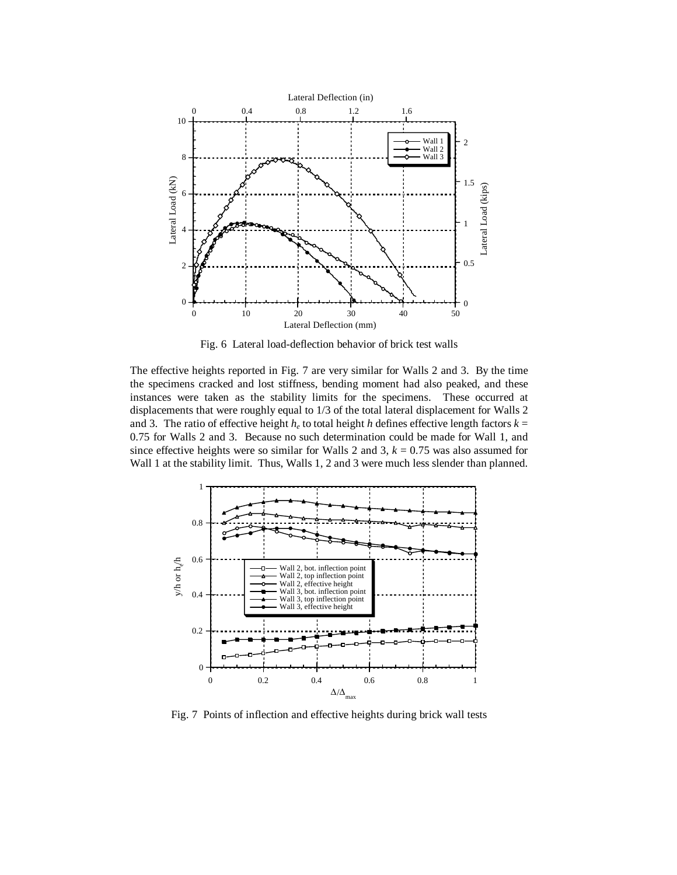

Fig. 6 Lateral load-deflection behavior of brick test walls

The effective heights reported in Fig. 7 are very similar for Walls 2 and 3. By the time the specimens cracked and lost stiffness, bending moment had also peaked, and these instances were taken as the stability limits for the specimens. These occurred at displacements that were roughly equal to 1/3 of the total lateral displacement for Walls 2 and 3. The ratio of effective height  $h_e$  to total height *h* defines effective length factors  $k =$ 0.75 for Walls 2 and 3. Because no such determination could be made for Wall 1, and since effective heights were so similar for Walls 2 and 3,  $k = 0.75$  was also assumed for Wall 1 at the stability limit. Thus, Walls 1, 2 and 3 were much less slender than planned.



Fig. 7 Points of inflection and effective heights during brick wall tests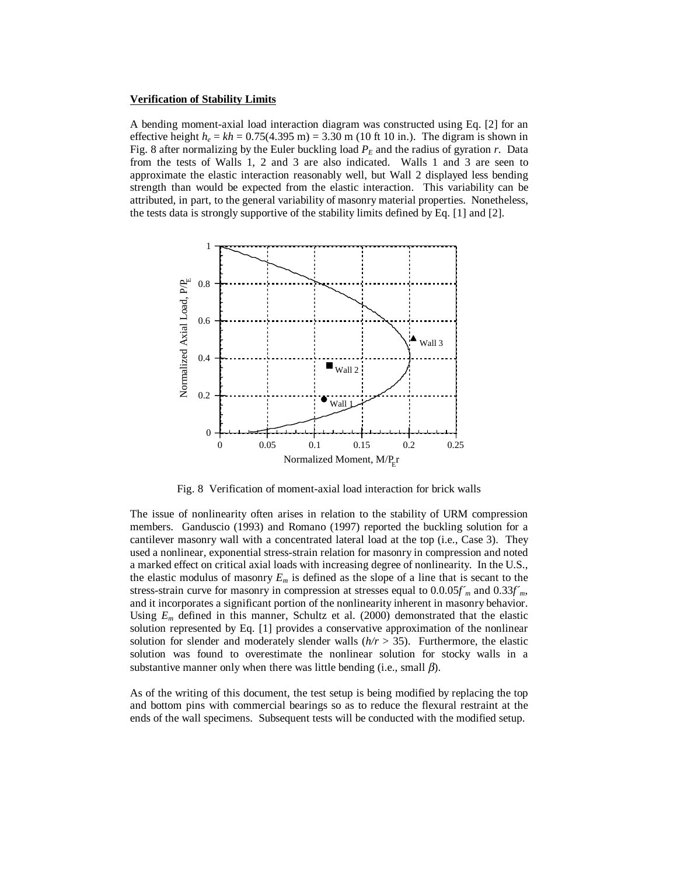#### **Verification of Stability Limits**

A bending moment-axial load interaction diagram was constructed using Eq. [2] for an effective height  $h_e = kh = 0.75(4.395 \text{ m}) = 3.30 \text{ m}$  (10 ft 10 in.). The digram is shown in Fig. 8 after normalizing by the Euler buckling load  $P_E$  and the radius of gyration  $r$ . Data from the tests of Walls 1, 2 and 3 are also indicated. Walls 1 and 3 are seen to approximate the elastic interaction reasonably well, but Wall 2 displayed less bending strength than would be expected from the elastic interaction. This variability can be attributed, in part, to the general variability of masonry material properties. Nonetheless, the tests data is strongly supportive of the stability limits defined by Eq. [1] and [2].



Fig. 8 Verification of moment-axial load interaction for brick walls

The issue of nonlinearity often arises in relation to the stability of URM compression members. Ganduscio (1993) and Romano (1997) reported the buckling solution for a cantilever masonry wall with a concentrated lateral load at the top (i.e., Case 3). They used a nonlinear, exponential stress-strain relation for masonry in compression and noted a marked effect on critical axial loads with increasing degree of nonlinearity. In the U.S., the elastic modulus of masonry  $E_m$  is defined as the slope of a line that is secant to the stress-strain curve for masonry in compression at stresses equal to  $0.0.05f<sub>m</sub>$  and  $0.33f<sub>m</sub>$ , and it incorporates a significant portion of the nonlinearity inherent in masonry behavior. Using  $E_m$  defined in this manner, Schultz et al. (2000) demonstrated that the elastic solution represented by Eq. [1] provides a conservative approximation of the nonlinear solution for slender and moderately slender walls  $(h/r > 35)$ . Furthermore, the elastic solution was found to overestimate the nonlinear solution for stocky walls in a substantive manner only when there was little bending (i.e., small  $\beta$ ).

As of the writing of this document, the test setup is being modified by replacing the top and bottom pins with commercial bearings so as to reduce the flexural restraint at the ends of the wall specimens. Subsequent tests will be conducted with the modified setup.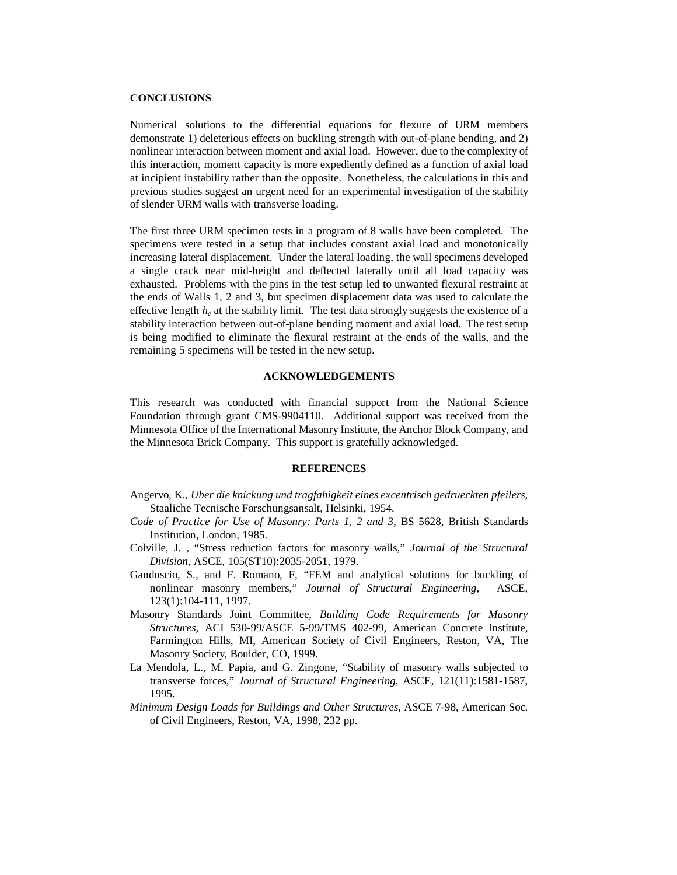## **CONCLUSIONS**

Numerical solutions to the differential equations for flexure of URM members demonstrate 1) deleterious effects on buckling strength with out-of-plane bending, and 2) nonlinear interaction between moment and axial load. However, due to the complexity of this interaction, moment capacity is more expediently defined as a function of axial load at incipient instability rather than the opposite. Nonetheless, the calculations in this and previous studies suggest an urgent need for an experimental investigation of the stability of slender URM walls with transverse loading.

The first three URM specimen tests in a program of 8 walls have been completed. The specimens were tested in a setup that includes constant axial load and monotonically increasing lateral displacement. Under the lateral loading, the wall specimens developed a single crack near mid-height and deflected laterally until all load capacity was exhausted. Problems with the pins in the test setup led to unwanted flexural restraint at the ends of Walls 1, 2 and 3, but specimen displacement data was used to calculate the effective length *he* at the stability limit. The test data strongly suggests the existence of a stability interaction between out-of-plane bending moment and axial load. The test setup is being modified to eliminate the flexural restraint at the ends of the walls, and the remaining 5 specimens will be tested in the new setup.

# **ACKNOWLEDGEMENTS**

This research was conducted with financial support from the National Science Foundation through grant CMS-9904110. Additional support was received from the Minnesota Office of the International Masonry Institute, the Anchor Block Company, and the Minnesota Brick Company. This support is gratefully acknowledged.

#### **REFERENCES**

- Angervo, K., *Uber die knickung und tragfahigkeit eines excentrisch gedrueckten pfeilers*, Staaliche Tecnische Forschungsansalt, Helsinki, 1954.
- *Code of Practice for Use of Masonry: Parts 1, 2 and 3*, BS 5628, British Standards Institution, London, 1985.
- Colville, J. , "Stress reduction factors for masonry walls," *Journal of the Structural Division*, ASCE, 105(ST10):2035-2051, 1979.
- Ganduscio, S., and F. Romano, F, "FEM and analytical solutions for buckling of nonlinear masonry members," *Journal of Structural Engineering*, ASCE, 123(1):104-111, 1997.
- Masonry Standards Joint Committee, *Building Code Requirements for Masonry Structures*, ACI 530-99/ASCE 5-99/TMS 402-99, American Concrete Institute, Farmington Hills, MI, American Society of Civil Engineers, Reston, VA, The Masonry Society, Boulder, CO, 1999.
- La Mendola, L., M. Papia, and G. Zingone, "Stability of masonry walls subjected to transverse forces," *Journal of Structural Engineering*, ASCE, 121(11):1581-1587, 1995.
- *Minimum Design Loads for Buildings and Other Structures*, ASCE 7-98, American Soc. of Civil Engineers, Reston, VA, 1998, 232 pp.